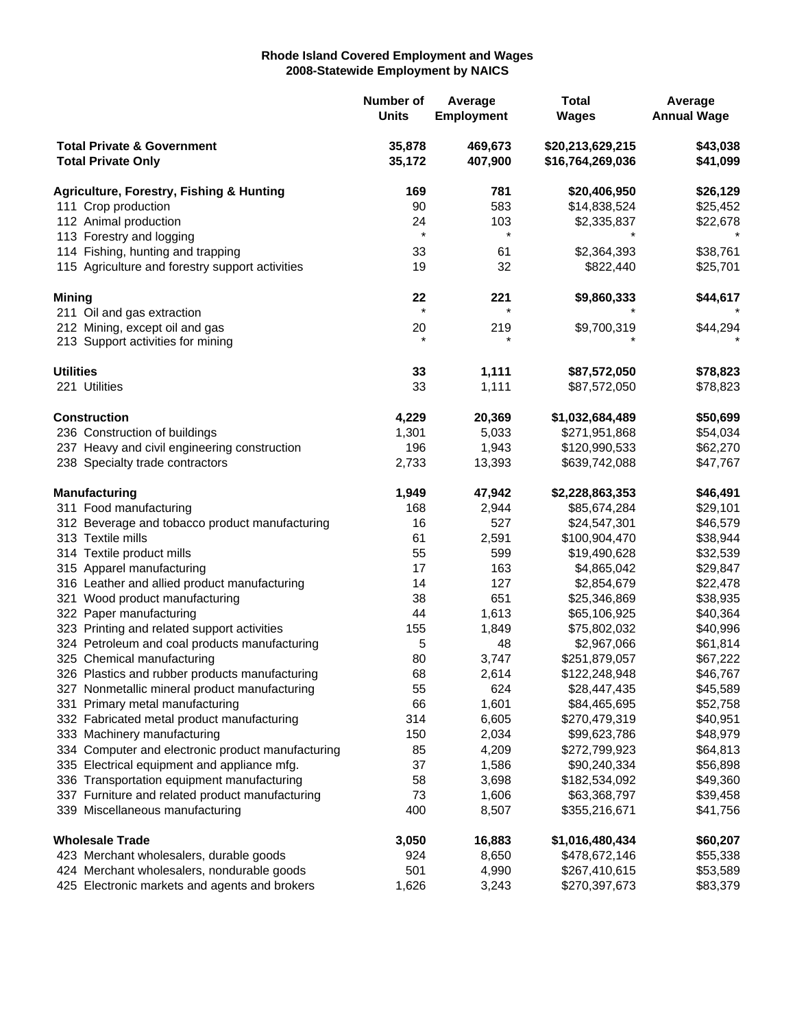## **Rhode Island Covered Employment and Wages 2008-Statewide Employment by NAICS**

|                                                                    |                                                     | Number of<br><b>Units</b> | Average<br><b>Employment</b> | <b>Total</b><br><b>Wages</b>         | Average<br><b>Annual Wage</b> |
|--------------------------------------------------------------------|-----------------------------------------------------|---------------------------|------------------------------|--------------------------------------|-------------------------------|
| <b>Total Private &amp; Government</b><br><b>Total Private Only</b> |                                                     | 35,878<br>35,172          | 469,673<br>407,900           | \$20,213,629,215<br>\$16,764,269,036 | \$43,038<br>\$41,099          |
|                                                                    | <b>Agriculture, Forestry, Fishing &amp; Hunting</b> | 169                       | 781                          | \$20,406,950                         | \$26,129                      |
| 111 Crop production                                                |                                                     | 90                        | 583                          | \$14,838,524                         | \$25,452                      |
|                                                                    | 112 Animal production                               | 24                        | 103                          | \$2,335,837                          | \$22,678                      |
|                                                                    | 113 Forestry and logging                            | $\star$                   | $^\star$                     |                                      |                               |
|                                                                    | 114 Fishing, hunting and trapping                   | 33                        | 61                           | \$2,364,393                          | \$38,761                      |
|                                                                    | 115 Agriculture and forestry support activities     | 19                        | 32                           | \$822,440                            | \$25,701                      |
| <b>Mining</b>                                                      |                                                     | 22                        | 221                          | \$9,860,333                          | \$44,617                      |
|                                                                    | 211 Oil and gas extraction                          | $\star$                   |                              |                                      |                               |
|                                                                    | 212 Mining, except oil and gas                      | 20                        | 219                          | \$9,700,319                          | \$44,294                      |
|                                                                    | 213 Support activities for mining                   |                           |                              |                                      |                               |
| <b>Utilities</b>                                                   |                                                     | 33                        | 1,111                        | \$87,572,050                         | \$78,823                      |
|                                                                    | 221 Utilities                                       | 33                        | 1,111                        | \$87,572,050                         | \$78,823                      |
|                                                                    | <b>Construction</b>                                 | 4,229                     | 20,369                       | \$1,032,684,489                      | \$50,699                      |
|                                                                    | 236 Construction of buildings                       | 1,301                     | 5,033                        | \$271,951,868                        | \$54,034                      |
|                                                                    | 237 Heavy and civil engineering construction        | 196                       | 1,943                        | \$120,990,533                        | \$62,270                      |
|                                                                    | 238 Specialty trade contractors                     | 2,733                     | 13,393                       | \$639,742,088                        | \$47,767                      |
|                                                                    | <b>Manufacturing</b>                                | 1,949                     | 47,942                       | \$2,228,863,353                      | \$46,491                      |
|                                                                    | 311 Food manufacturing                              | 168                       | 2,944                        | \$85,674,284                         | \$29,101                      |
|                                                                    | 312 Beverage and tobacco product manufacturing      | 16                        | 527                          | \$24,547,301                         | \$46,579                      |
|                                                                    | 313 Textile mills                                   | 61                        | 2,591                        | \$100,904,470                        | \$38,944                      |
|                                                                    | 314 Textile product mills                           | 55                        | 599                          | \$19,490,628                         | \$32,539                      |
|                                                                    | 315 Apparel manufacturing                           | 17                        | 163                          | \$4,865,042                          | \$29,847                      |
|                                                                    | 316 Leather and allied product manufacturing        | 14                        | 127                          | \$2,854,679                          | \$22,478                      |
|                                                                    | 321 Wood product manufacturing                      | 38                        | 651                          | \$25,346,869                         | \$38,935                      |
|                                                                    | 322 Paper manufacturing                             | 44                        | 1,613                        | \$65,106,925                         | \$40,364                      |
|                                                                    | 323 Printing and related support activities         | 155                       | 1,849                        | \$75,802,032                         | \$40,996                      |
|                                                                    | 324 Petroleum and coal products manufacturing       | 5                         | 48                           | \$2,967,066                          | \$61,814                      |
|                                                                    | 325 Chemical manufacturing                          | 80                        | 3,747                        | \$251,879,057                        | \$67,222                      |
|                                                                    | 326 Plastics and rubber products manufacturing      | 68                        | 2,614                        | \$122,248,948                        | \$46,767                      |
|                                                                    | 327 Nonmetallic mineral product manufacturing       | 55                        | 624                          | \$28,447,435                         | \$45,589                      |
|                                                                    | 331 Primary metal manufacturing                     | 66                        | 1,601                        | \$84,465,695                         | \$52,758                      |
|                                                                    | 332 Fabricated metal product manufacturing          | 314                       | 6,605                        | \$270,479,319                        | \$40,951                      |
|                                                                    | 333 Machinery manufacturing                         | 150                       | 2,034                        | \$99,623,786                         | \$48,979                      |
|                                                                    | 334 Computer and electronic product manufacturing   | 85                        | 4,209                        | \$272,799,923                        | \$64,813                      |
|                                                                    | 335 Electrical equipment and appliance mfg.         | 37                        | 1,586                        | \$90,240,334                         | \$56,898                      |
|                                                                    | 336 Transportation equipment manufacturing          | 58                        | 3,698                        | \$182,534,092                        | \$49,360                      |
|                                                                    | 337 Furniture and related product manufacturing     | 73                        | 1,606                        | \$63,368,797                         | \$39,458                      |
|                                                                    | 339 Miscellaneous manufacturing                     | 400                       | 8,507                        | \$355,216,671                        | \$41,756                      |
|                                                                    | <b>Wholesale Trade</b>                              | 3,050                     | 16,883                       | \$1,016,480,434                      | \$60,207                      |
|                                                                    | 423 Merchant wholesalers, durable goods             | 924                       | 8,650                        | \$478,672,146                        | \$55,338                      |
|                                                                    | 424 Merchant wholesalers, nondurable goods          | 501                       | 4,990                        | \$267,410,615                        | \$53,589                      |
|                                                                    | 425 Electronic markets and agents and brokers       | 1,626                     | 3,243                        | \$270,397,673                        | \$83,379                      |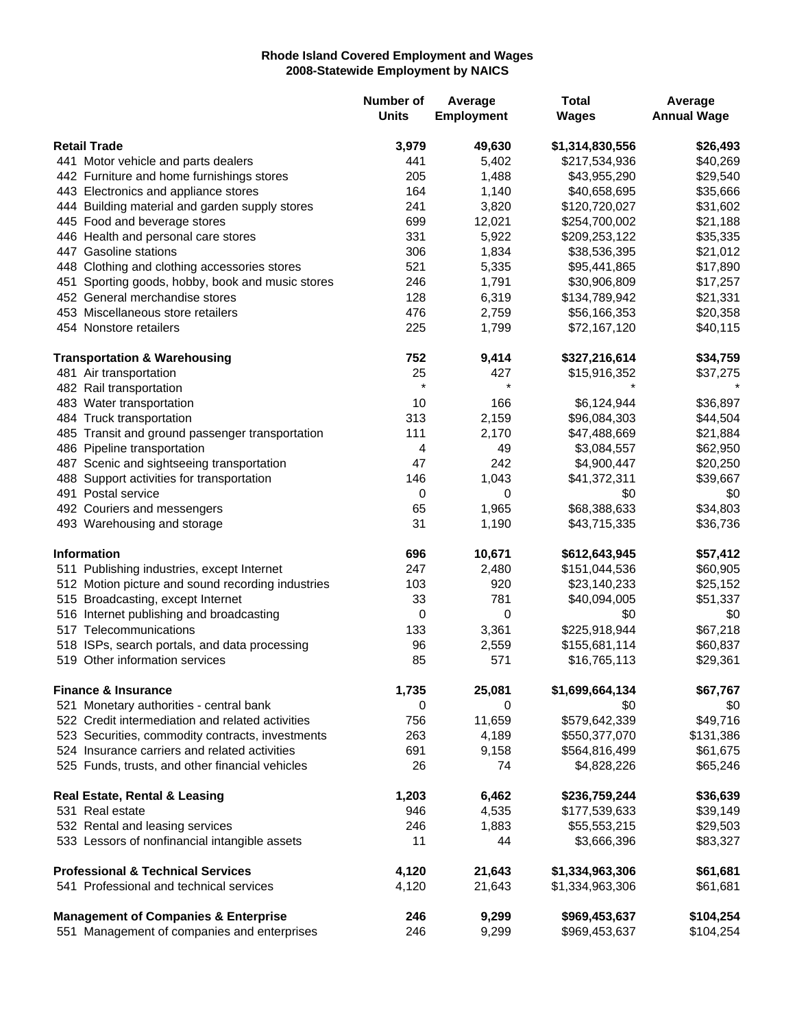## **Rhode Island Covered Employment and Wages 2008-Statewide Employment by NAICS**

|                                              |                                                   | Number of<br><b>Units</b> | Average<br><b>Employment</b> | <b>Total</b><br><b>Wages</b> | Average<br><b>Annual Wage</b> |
|----------------------------------------------|---------------------------------------------------|---------------------------|------------------------------|------------------------------|-------------------------------|
| <b>Retail Trade</b>                          |                                                   | 3,979                     | 49,630                       | \$1,314,830,556              | \$26,493                      |
|                                              | 441 Motor vehicle and parts dealers               | 441                       | 5,402                        | \$217,534,936                | \$40,269                      |
|                                              | 442 Furniture and home furnishings stores         | 205                       | 1,488                        | \$43,955,290                 | \$29,540                      |
|                                              | 443 Electronics and appliance stores              | 164                       | 1,140                        | \$40,658,695                 | \$35,666                      |
|                                              | 444 Building material and garden supply stores    | 241                       | 3,820                        | \$120,720,027                | \$31,602                      |
|                                              | 445 Food and beverage stores                      | 699                       | 12,021                       | \$254,700,002                | \$21,188                      |
|                                              | 446 Health and personal care stores               | 331                       | 5,922                        | \$209,253,122                | \$35,335                      |
|                                              | 447 Gasoline stations                             | 306                       | 1,834                        | \$38,536,395                 | \$21,012                      |
|                                              | 448 Clothing and clothing accessories stores      | 521                       | 5,335                        | \$95,441,865                 | \$17,890                      |
|                                              | 451 Sporting goods, hobby, book and music stores  | 246                       | 1,791                        | \$30,906,809                 | \$17,257                      |
|                                              | 452 General merchandise stores                    | 128                       | 6,319                        | \$134,789,942                | \$21,331                      |
|                                              | 453 Miscellaneous store retailers                 | 476                       | 2,759                        | \$56,166,353                 | \$20,358                      |
|                                              | 454 Nonstore retailers                            | 225                       | 1,799                        | \$72,167,120                 | \$40,115                      |
|                                              | <b>Transportation &amp; Warehousing</b>           | 752                       | 9,414                        | \$327,216,614                | \$34,759                      |
|                                              | 481 Air transportation                            | 25                        | 427                          | \$15,916,352                 | \$37,275                      |
|                                              | 482 Rail transportation                           | $\star$                   | $\star$                      |                              |                               |
|                                              | 483 Water transportation                          | 10                        | 166                          | \$6,124,944                  | \$36,897                      |
|                                              | 484 Truck transportation                          | 313                       | 2,159                        | \$96,084,303                 | \$44,504                      |
|                                              | 485 Transit and ground passenger transportation   | 111                       | 2,170                        | \$47,488,669                 | \$21,884                      |
|                                              | 486 Pipeline transportation                       | 4                         | 49                           | \$3,084,557                  | \$62,950                      |
|                                              | 487 Scenic and sightseeing transportation         | 47                        | 242                          | \$4,900,447                  | \$20,250                      |
|                                              | 488 Support activities for transportation         | 146                       | 1,043                        | \$41,372,311                 | \$39,667                      |
|                                              | 491 Postal service                                | 0                         | 0                            | \$0                          | \$0                           |
|                                              | 492 Couriers and messengers                       | 65                        | 1,965                        | \$68,388,633                 | \$34,803                      |
|                                              | 493 Warehousing and storage                       | 31                        | 1,190                        | \$43,715,335                 | \$36,736                      |
|                                              | <b>Information</b>                                | 696                       | 10,671                       | \$612,643,945                | \$57,412                      |
|                                              | 511 Publishing industries, except Internet        | 247                       | 2,480                        | \$151,044,536                | \$60,905                      |
|                                              | 512 Motion picture and sound recording industries | 103                       | 920                          | \$23,140,233                 | \$25,152                      |
|                                              | 515 Broadcasting, except Internet                 | 33                        | 781                          | \$40,094,005                 | \$51,337                      |
|                                              | 516 Internet publishing and broadcasting          | 0                         | 0                            | \$0                          | \$0                           |
|                                              | 517 Telecommunications                            | 133                       | 3,361                        | \$225,918,944                | \$67,218                      |
|                                              | 518 ISPs, search portals, and data processing     | 96                        | 2,559                        | \$155,681,114                | \$60,837                      |
|                                              | 519 Other information services                    | 85                        | 571                          | \$16,765,113                 | \$29,361                      |
|                                              | <b>Finance &amp; Insurance</b>                    | 1,735                     | 25,081                       | \$1,699,664,134              | \$67,767                      |
|                                              | 521 Monetary authorities - central bank           | 0                         | 0                            | \$0                          | \$0                           |
|                                              | 522 Credit intermediation and related activities  | 756                       | 11,659                       | \$579,642,339                | \$49,716                      |
|                                              | 523 Securities, commodity contracts, investments  | 263                       | 4,189                        | \$550,377,070                | \$131,386                     |
|                                              | 524 Insurance carriers and related activities     | 691                       | 9,158                        | \$564,816,499                | \$61,675                      |
|                                              | 525 Funds, trusts, and other financial vehicles   | 26                        | 74                           | \$4,828,226                  | \$65,246                      |
|                                              | <b>Real Estate, Rental &amp; Leasing</b>          | 1,203                     | 6,462                        | \$236,759,244                | \$36,639                      |
|                                              | 531 Real estate                                   | 946                       | 4,535                        | \$177,539,633                | \$39,149                      |
|                                              | 532 Rental and leasing services                   | 246                       | 1,883                        | \$55,553,215                 | \$29,503                      |
|                                              | 533 Lessors of nonfinancial intangible assets     | 11                        | 44                           | \$3,666,396                  | \$83,327                      |
| <b>Professional &amp; Technical Services</b> |                                                   | 4,120                     | 21,643                       | \$1,334,963,306              | \$61,681                      |
|                                              | 541 Professional and technical services           | 4,120                     | 21,643                       | \$1,334,963,306              | \$61,681                      |
|                                              | <b>Management of Companies &amp; Enterprise</b>   | 246                       | 9,299                        | \$969,453,637                | \$104,254                     |
|                                              | 551 Management of companies and enterprises       | 246                       | 9,299                        | \$969,453,637                | \$104,254                     |